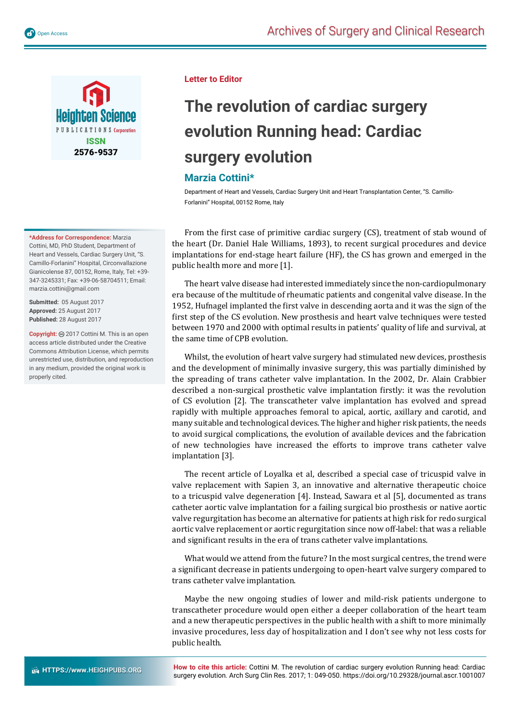

#### **\*Address for Correspondence:** Marzia

Cottini, MD, PhD Student, Department of Heart and Vessels, Cardiac Surgery Unit, "S. Camillo-Forlanini" Hospital, Circonvallazione Gianicolense 87, 00152, Rome, Italy, Tel: +39- 347-3245331; Fax: +39-06-58704511; Email: marzia.cottini@gmail.com

**Submitted:** 05 August 2017 **Approved:** 25 August 2017 **Published:** 28 August 2017

Copyright: @ 2017 Cottini M. This is an open access article distributed under the Creative Commons Attribution License, which permits unrestricted use, distribution, and reproduction in any medium, provided the original work is properly cited.

### **Letter to Editor**

# **The revolution of cardiac surgery evolution Running head: Cardiac surgery evolution**

### **Marzia Cottini\***

Department of Heart and Vessels, Cardiac Surgery Unit and Heart Transplantation Center, "S. Camillo-Forlanini" Hospital, 00152 Rome, Italy

From the first case of primitive cardiac surgery (CS), treatment of stab wound of the heart (Dr. Daniel Hale Williams, 1893), to recent surgical procedures and device implantations for end-stage heart failure (HF), the CS has grown and emerged in the public health more and more [1].

The heart valve disease had interested immediately since the non-cardiopulmonary era because of the multitude of rheumatic patients and congenital valve disease. In the 1952, Hufnagel implanted the first valve in descending aorta and it was the sign of the first step of the CS evolution. New prosthesis and heart valve techniques were tested between 1970 and 2000 with optimal results in patients' quality of life and survival, at the same time of CPB evolution.

Whilst, the evolution of heart valve surgery had stimulated new devices, prosthesis and the development of minimally invasive surgery, this was partially diminished by the spreading of trans catheter valve implantation. In the 2002, Dr. Alain Crabbier described a non-surgical prosthetic valve implantation firstly: it was the revolution of CS evolution [2]. The transcatheter valve implantation has evolved and spread rapidly with multiple approaches femoral to apical, aortic, axillary and carotid, and many suitable and technological devices. The higher and higher risk patients, the needs to avoid surgical complications, the evolution of available devices and the fabrication of new technologies have increased the efforts to improve trans catheter valve implantation [3].

The recent article of Loyalka et al, described a special case of tricuspid valve in valve replacement with Sapien 3, an innovative and alternative therapeutic choice to a tricuspid valve degeneration [4]. Instead, Sawara et al [5], documented as trans catheter aortic valve implantation for a failing surgical bio prosthesis or native aortic valve regurgitation has become an alternative for patients at high risk for redo surgical aortic valve replacement or aortic regurgitation since now off-label: that was a reliable and significant results in the era of trans catheter valve implantations.

What would we attend from the future? In the most surgical centres, the trend were a significant decrease in patients undergoing to open-heart valve surgery compared to trans catheter valve implantation.

Maybe the new ongoing studies of lower and mild-risk patients undergone to transcatheter procedure would open either a deeper collaboration of the heart team and a new therapeutic perspectives in the public health with a shift to more minimally invasive procedures, less day of hospitalization and I don't see why not less costs for public health.